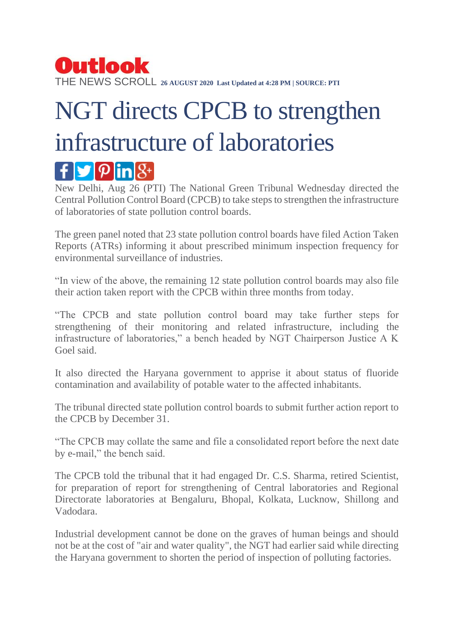## Outlook THE NEWS SCROLL **26 AUGUST 2020 Last Updated at 4:28 PM | SOURCE: PTI**

## NGT directs CPCB to strengthen infrastructure of laboratories  $\mathbf{f}$   $\mathbf{y}$   $\mathbf{p}$   $\mathbf{in}$   $\mathcal{S}$

New Delhi, Aug 26 (PTI) The National Green Tribunal Wednesday directed the Central Pollution Control Board (CPCB) to take steps to strengthen the infrastructure of laboratories of state pollution control boards.

The green panel noted that 23 state pollution control boards have filed Action Taken Reports (ATRs) informing it about prescribed minimum inspection frequency for environmental surveillance of industries.

"In view of the above, the remaining 12 state pollution control boards may also file their action taken report with the CPCB within three months from today.

"The CPCB and state pollution control board may take further steps for strengthening of their monitoring and related infrastructure, including the infrastructure of laboratories," a bench headed by NGT Chairperson Justice A K Goel said.

It also directed the Haryana government to apprise it about status of fluoride contamination and availability of potable water to the affected inhabitants.

The tribunal directed state pollution control boards to submit further action report to the CPCB by December 31.

"The CPCB may collate the same and file a consolidated report before the next date by e-mail," the bench said.

The CPCB told the tribunal that it had engaged Dr. C.S. Sharma, retired Scientist, for preparation of report for strengthening of Central laboratories and Regional Directorate laboratories at Bengaluru, Bhopal, Kolkata, Lucknow, Shillong and Vadodara.

Industrial development cannot be done on the graves of human beings and should not be at the cost of "air and water quality", the NGT had earlier said while directing the Haryana government to shorten the period of inspection of polluting factories.